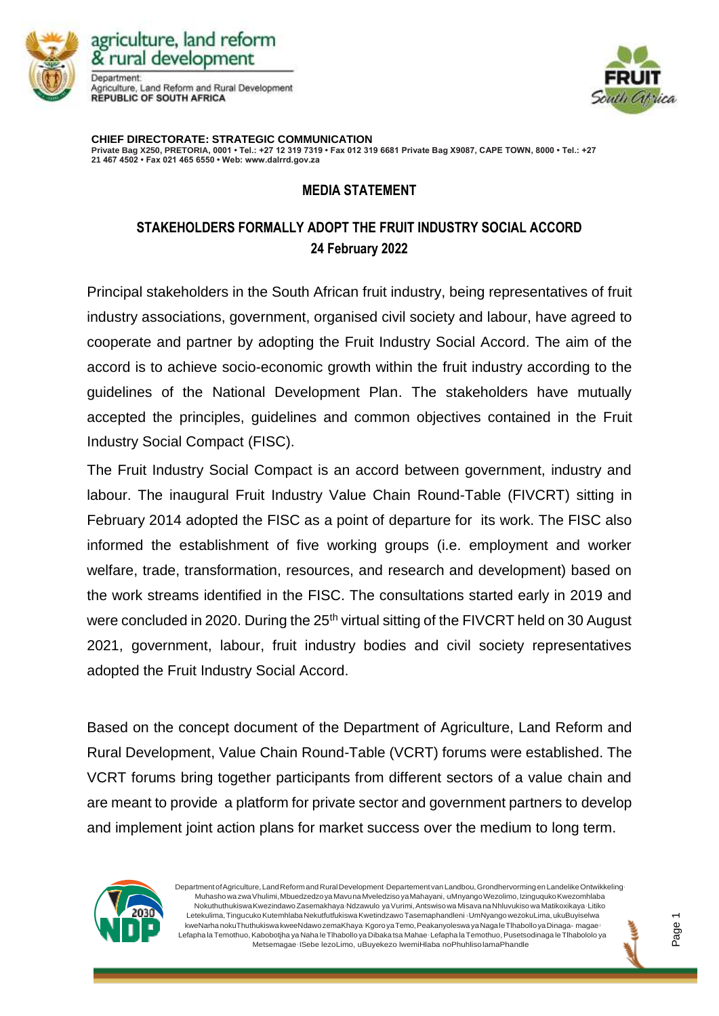

agriculture, land reform & rural development Department Agriculture, Land Reform and Rural Development **REPUBLIC OF SOUTH AFRICA** 



**CHIEF DIRECTORATE: STRATEGIC COMMUNICATION Private Bag X250, PRETORIA, 0001 • Tel.: +27 12 319 7319 • Fax 012 319 6681 Private Bag X9087, CAPE TOWN, 8000 • Tel.: +27 21 467 4502 • Fax 021 465 6550 • Web: www.dalrrd.gov.za**

## **MEDIA STATEMENT**

## **STAKEHOLDERS FORMALLY ADOPT THE FRUIT INDUSTRY SOCIAL ACCORD 24 February 2022**

Principal stakeholders in the South African fruit industry, being representatives of fruit industry associations, government, organised civil society and labour, have agreed to cooperate and partner by adopting the Fruit Industry Social Accord. The aim of the accord is to achieve socio-economic growth within the fruit industry according to the guidelines of the National Development Plan. The stakeholders have mutually accepted the principles, guidelines and common objectives contained in the Fruit Industry Social Compact (FISC).

The Fruit Industry Social Compact is an accord between government, industry and labour. The inaugural Fruit Industry Value Chain Round-Table (FIVCRT) sitting in February 2014 adopted the FISC as a point of departure for its work. The FISC also informed the establishment of five working groups (i.e. employment and worker welfare, trade, transformation, resources, and research and development) based on the work streams identified in the FISC. The consultations started early in 2019 and were concluded in 2020. During the 25<sup>th</sup> virtual sitting of the FIVCRT held on 30 August 2021, government, labour, fruit industry bodies and civil society representatives adopted the Fruit Industry Social Accord.

Based on the concept document of the Department of Agriculture, Land Reform and Rural Development, Value Chain Round-Table (VCRT) forums were established. The VCRT forums bring together participants from different sectors of a value chain and are meant to provide a platform for private sector and government partners to develop and implement joint action plans for market success over the medium to long term.



Department of Agriculture, Land Reformand Rural Development <sub>D</sub>Departement van Landbou, Grondhervorming en Landelike Ontwikkeling Muhasho wa zwa Vhulimi, Mbuedzedzo ya Mavuna Mveledziso ya Mahayani, uMnyango Wezolimo, Izinguquko Kwezomhlaba Nokuthuthukiswa Kwezindawo Zasemakhaya Ndzawulo ya Vurimi, Antswiso wa Misaya na Nhluvukiso wa Matikoxikaya Litiko Letekulima,TingucukoKutemhlabaNekutfutfukiswaKwetindzawoTasemaphandleni lUmNyangowezokuLima,ukuBuyiselwa kweNarhanokuThuthukiswa kweeNdawozemaKhayalKgoroyaTemo,PeakanyoleswayaNagaleTlhabolloyaDinaga- magae <sup>l</sup> Lefapha la Temothuo, Kabobotjha ya Naha le Tlhabollo ya Dibaka tsa Mahae Lefapha la Temothuo, Pusetsodinaga le Tlhabololo ya Metsemagae <sup>l</sup> ISebe lezoLimo, uBuyekezo lwemiHlaba noPhuhlisolamaPhandle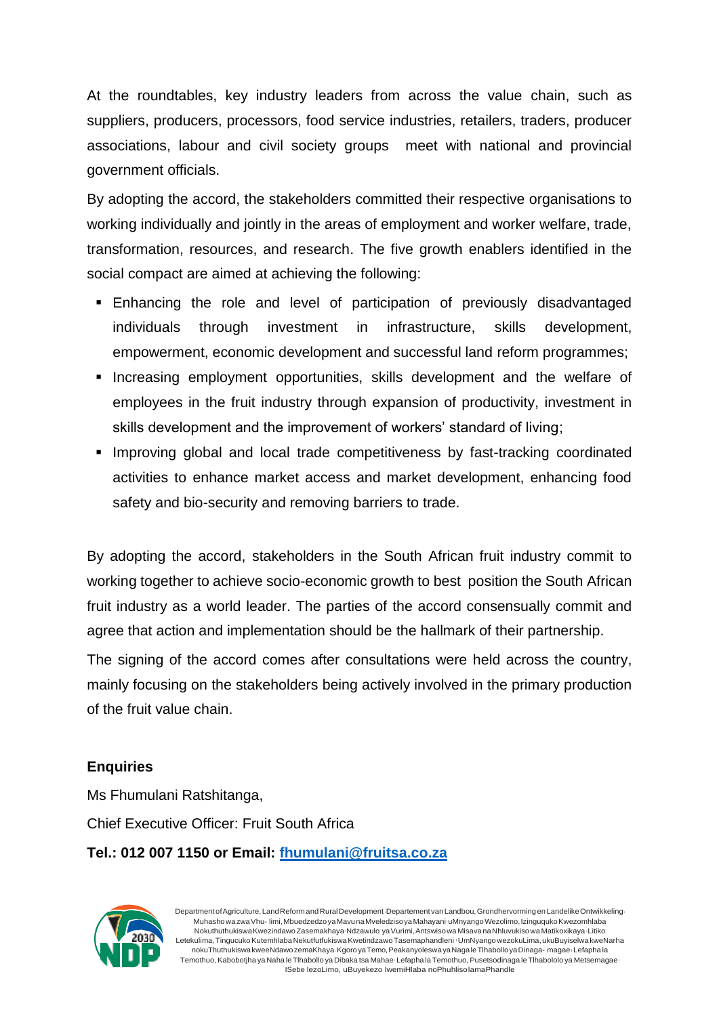At the roundtables, key industry leaders from across the value chain, such as suppliers, producers, processors, food service industries, retailers, traders, producer associations, labour and civil society groups meet with national and provincial government officials.

By adopting the accord, the stakeholders committed their respective organisations to working individually and jointly in the areas of employment and worker welfare, trade, transformation, resources, and research. The five growth enablers identified in the social compact are aimed at achieving the following:

- **Enhancing the role and level of participation of previously disadvantaged** individuals through investment in infrastructure, skills development, empowerment, economic development and successful land reform programmes;
- **•** Increasing employment opportunities, skills development and the welfare of employees in the fruit industry through expansion of productivity, investment in skills development and the improvement of workers' standard of living;
- **.** Improving global and local trade competitiveness by fast-tracking coordinated activities to enhance market access and market development, enhancing food safety and bio-security and removing barriers to trade.

By adopting the accord, stakeholders in the South African fruit industry commit to working together to achieve socio-economic growth to best position the South African fruit industry as a world leader. The parties of the accord consensually commit and agree that action and implementation should be the hallmark of their partnership.

The signing of the accord comes after consultations were held across the country, mainly focusing on the stakeholders being actively involved in the primary production of the fruit value chain.

## **Enquiries**

Ms Fhumulani Ratshitanga, Chief Executive Officer: Fruit South Africa **Tel.: 012 007 1150 or Email: [fhumulani@fruitsa.co.za](mailto:fhumulani@fruitsa.co.za)**



Department of Agriculture, Land Reformand Rural Development <sub>·</sub>Departement van Landbou, Grondhervorming en Landelike Ontwikkeling MuhashowazwaVhu- limi,MbuedzedzoyaMavunaMveledzisoyaMahayani <sup>l</sup>uMnyangoWezolimo,IzinguqukoKwezomhlaba NokuthuthukiswaKwezindawoZasemakhayalNdzawulo yaVurimi,Antswisowa MisavanaNhluvukisowa Matikoxikaya <sup>l</sup>Litiko Letekulima, Tingucuko Kutemhlaba Nekutfutfukiswa Kwetindzawo Tasemaphandleni (UmNyangowezokuLima, ukuBuyiselwa kweNarha nokuThuthukiswa kweeNdawo zemaKhaya · Kgoro ya Temo, Peakanyoleswa ya Nagale Tlhabollo ya Dinaga- magae <sup>,</sup> Lefapha la Temothuo, Kabobotjha ya Naha le Tlhabollo ya Dibaka tsa Mahae Lefapha la Temothuo, Pusetsodinaga le Tlhabololo ya Metsemagae ISebe lezoLimo, uBuyekezo lwemiHlaba noPhuhlisolamaPhandle